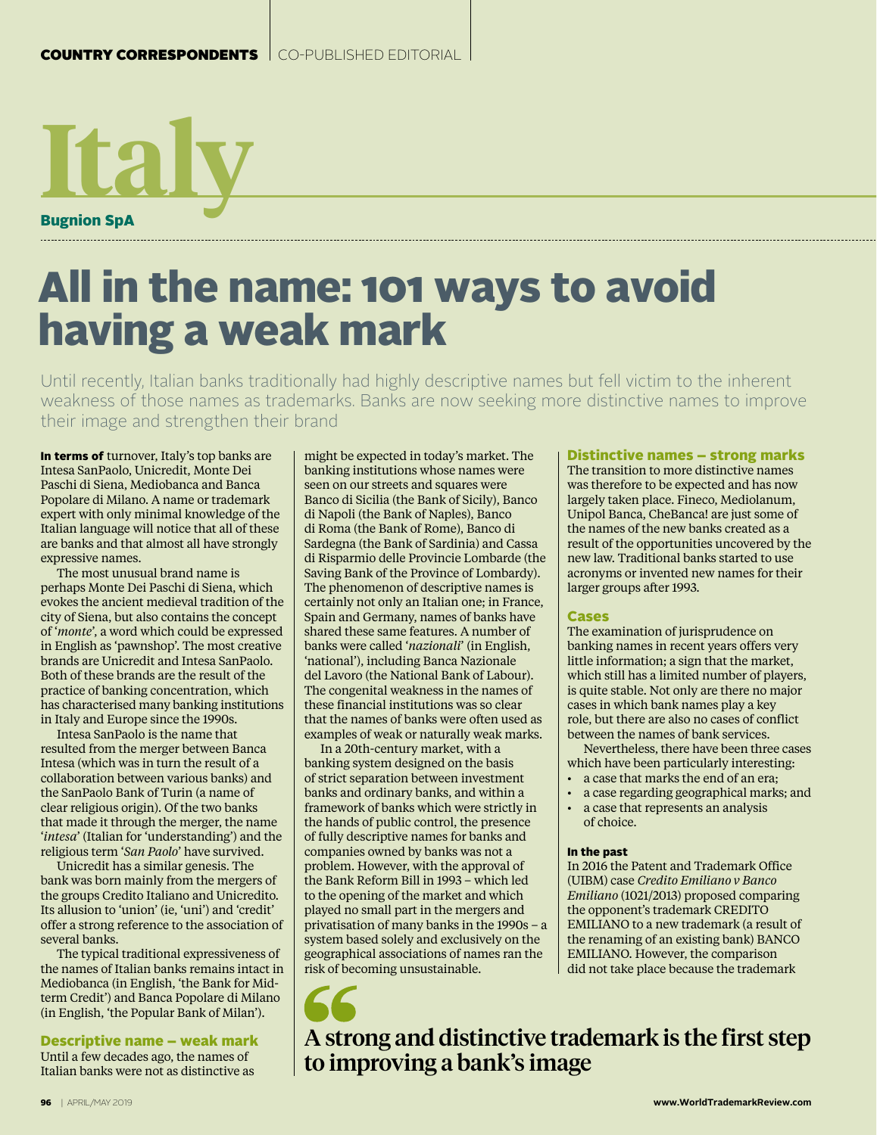

# All in the name: 101 ways to avoid having a weak mark

Until recently, Italian banks traditionally had highly descriptive names but fell victim to the inherent weakness of those names as trademarks. Banks are now seeking more distinctive names to improve their image and strengthen their brand

In terms of turnover, Italy's top banks are Intesa SanPaolo, Unicredit, Monte Dei Paschi di Siena, Mediobanca and Banca Popolare di Milano. A name or trademark expert with only minimal knowledge of the Italian language will notice that all of these are banks and that almost all have strongly expressive names.

The most unusual brand name is perhaps Monte Dei Paschi di Siena, which evokes the ancient medieval tradition of the city of Siena, but also contains the concept of '*monte*', a word which could be expressed in English as 'pawnshop'. The most creative brands are Unicredit and Intesa SanPaolo. Both of these brands are the result of the practice of banking concentration, which has characterised many banking institutions in Italy and Europe since the 1990s.

Intesa SanPaolo is the name that resulted from the merger between Banca Intesa (which was in turn the result of a collaboration between various banks) and the SanPaolo Bank of Turin (a name of clear religious origin). Of the two banks that made it through the merger, the name '*intesa*' (Italian for 'understanding') and the religious term '*San Paolo*' have survived.

Unicredit has a similar genesis. The bank was born mainly from the mergers of the groups Credito Italiano and Unicredito. Its allusion to 'union' (ie, 'uni') and 'credit' offer a strong reference to the association of several banks.

The typical traditional expressiveness of the names of Italian banks remains intact in Mediobanca (in English, 'the Bank for Midterm Credit') and Banca Popolare di Milano (in English, 'the Popular Bank of Milan').

Descriptive name – weak mark Until a few decades ago, the names of Italian banks were not as distinctive as

might be expected in today's market. The banking institutions whose names were seen on our streets and squares were Banco di Sicilia (the Bank of Sicily), Banco di Napoli (the Bank of Naples), Banco di Roma (the Bank of Rome), Banco di Sardegna (the Bank of Sardinia) and Cassa di Risparmio delle Provincie Lombarde (the Saving Bank of the Province of Lombardy). The phenomenon of descriptive names is certainly not only an Italian one; in France, Spain and Germany, names of banks have shared these same features. A number of banks were called '*nazionali*' (in English, 'national'), including Banca Nazionale del Lavoro (the National Bank of Labour). The congenital weakness in the names of these financial institutions was so clear that the names of banks were often used as examples of weak or naturally weak marks.

In a 20th-century market, with a banking system designed on the basis of strict separation between investment banks and ordinary banks, and within a framework of banks which were strictly in the hands of public control, the presence of fully descriptive names for banks and companies owned by banks was not a problem. However, with the approval of the Bank Reform Bill in 1993 – which led to the opening of the market and which played no small part in the mergers and privatisation of many banks in the 1990s – a system based solely and exclusively on the geographical associations of names ran the risk of becoming unsustainable.

#### Distinctive names – strong marks

The transition to more distinctive names was therefore to be expected and has now largely taken place. Fineco, Mediolanum, Unipol Banca, CheBanca! are just some of the names of the new banks created as a result of the opportunities uncovered by the new law. Traditional banks started to use acronyms or invented new names for their larger groups after 1993.

### Cases

The examination of jurisprudence on banking names in recent years offers very little information; a sign that the market, which still has a limited number of players, is quite stable. Not only are there no major cases in which bank names play a key role, but there are also no cases of conflict between the names of bank services.

Nevertheless, there have been three cases which have been particularly interesting:

- a case that marks the end of an era;
- a case regarding geographical marks; and
- a case that represents an analysis of choice.

## In the past

In 2016 the Patent and Trademark Office (UIBM) case *Credito Emiliano v Banco Emiliano* (1021/2013) proposed comparing the opponent's trademark CREDITO EMILIANO to a new trademark (a result of the renaming of an existing bank) BANCO EMILIANO. However, the comparison did not take place because the trademark

A strong and distinctive trademark is the first step to improving a bank's image